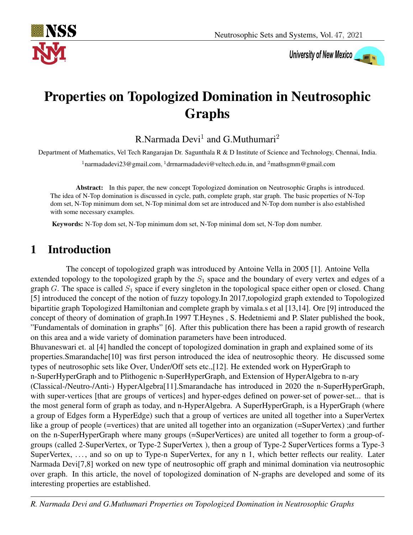

# University of New Mexico

## Properties on Topologized Domination in Neutrosophic Graphs

R.Narmada Devi $^1$  and G.Muthumari $^2$ 

Department of Mathematics, Vel Tech Rangarajan Dr. Sagunthala R & D Institute of Science and Technology, Chennai, India.

<sup>1</sup>narmadadevi23@gmail.com, <sup>1</sup>drrnarmadadevi@veltech.edu.in, and <sup>2</sup>mathsgmm@gmail.com

Abstract: In this paper, the new concept Topologized domination on Neutrosophic Graphs is introduced. The idea of N-Top domination is discussed in cycle, path, complete graph, star graph. The basic properties of N-Top dom set, N-Top minimum dom set, N-Top minimal dom set are introduced and N-Top dom number is also established with some necessary examples.

Keywords: N-Top dom set, N-Top minimum dom set, N-Top minimal dom set, N-Top dom number.

## 1 Introduction

The concept of topologized graph was introduced by Antoine Vella in 2005 [1]. Antoine Vella extended topology to the topologized graph by the  $S_1$  space and the boundary of every vertex and edges of a graph G. The space is called  $S_1$  space if every singleton in the topological space either open or closed. Chang [5] introduced the concept of the notion of fuzzy topology.In 2017,topologizd graph extended to Topologized bipartitie graph Topologized Hamiltonian and complete graph by vimala.s et al [13,14]. Ore [9] introduced the concept of theory of domination of graph.In 1997 T.Heynes , S. Hedetniemi and P. Slater published the book, "Fundamentals of domination in graphs" [6]. After this publication there has been a rapid growth of research on this area and a wide variety of domination parameters have been introduced.

Bhuvaneswari et. al [4] handled the concept of topologized domination in graph and explained some of its properties.Smarandache[10] was first person introduced the idea of neutrosophic theory. He discussed some types of neutrosophic sets like Over, Under/Off sets etc.,[12]. He extended work on HyperGraph to n-SuperHyperGraph and to Plithogenic n-SuperHyperGraph, and Extension of HyperAlgebra to n-ary (Classical-/Neutro-/Anti-) HyperAlgebra[11].Smarandache has introduced in 2020 the n-SuperHyperGraph, with super-vertices [that are groups of vertices] and hyper-edges defined on power-set of power-set... that is the most general form of graph as today, and n-HyperAlgebra. A SuperHyperGraph, is a HyperGraph (where a group of Edges form a HyperEdge) such that a group of vertices are united all together into a SuperVertex like a group of people (=vertices) that are united all together into an organization (=SuperVertex); and further on the n-SuperHyperGraph where many groups (=SuperVertices) are united all together to form a group-ofgroups (called 2-SuperVertex, or Type-2 SuperVertex ), then a group of Type-2 SuperVertices forms a Type-3 SuperVertex, ..., and so on up to Type-n SuperVertex, for any n 1, which better reflects our reality. Later Narmada Devi[7,8] worked on new type of neutrosophic off graph and minimal domination via neutrosophic over graph. In this article, the novel of topologized domination of N-graphs are developed and some of its interesting properties are established.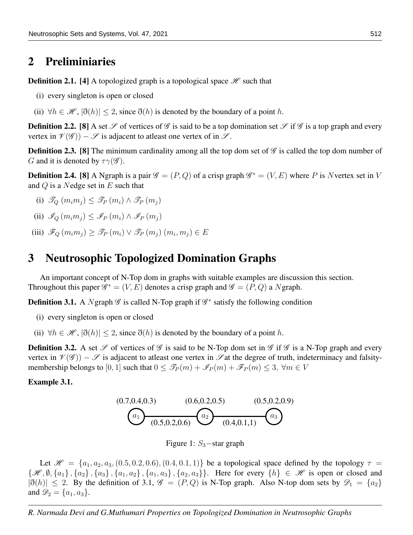### 2 Preliminiaries

**Definition 2.1.** [4] A topologized graph is a topological space  $\mathcal{H}$  such that

- (i) every singleton is open or closed
- (ii)  $\forall h \in \mathcal{H}, |\eth(h)| \leq 2$ , since  $\eth(h)$  is denoted by the boundary of a point h.

**Definition 2.2.** [8] A set  $\mathscr S$  of vertices of  $\mathscr G$  is said to be a top domination set  $\mathscr S$  if  $\mathscr G$  is a top graph and every vertex in  $\mathcal{V}(\mathcal{G})$  –  $\mathcal{S}$  is adjacent to atleast one vertex of in  $\mathcal{S}$ .

**Definition 2.3.** [8] The minimum cardinality among all the top dom set of  $\mathscr G$  is called the top dom number of G and it is denoted by  $\tau \gamma(\mathscr{G})$ .

**Definition 2.4.** [8] A Ngraph is a pair  $\mathscr{G} = (P, Q)$  of a crisp graph  $\mathscr{G}^* = (V, E)$  where P is Nvertex set in V and  $Q$  is a Nedge set in  $E$  such that

- (i)  $\mathscr{T}_{Q}(m_im_j) \leq \mathscr{T}_{P}(m_i) \wedge \mathscr{T}_{P}(m_j)$
- (ii)  $\mathscr{I}_{\Omega}(m_im_i) \leq \mathscr{I}_{P}(m_i) \wedge \mathscr{I}_{P}(m_i)$
- (iii)  $\mathscr{F}_Q(m_im_j) \geq \mathscr{F}_P(m_i) \vee \mathscr{F}_P(m_j)(m_i, m_j) \in E$

## 3 Neutrosophic Topologized Domination Graphs

An important concept of N-Top dom in graphs with suitable examples are discussion this section. Throughout this paper  $\mathscr{G}^* = (V, E)$  denotes a crisp graph and  $\mathscr{G} = (P, Q)$  a Ngraph.

**Definition 3.1.** A Ngraph  $\mathscr G$  is called N-Top graph if  $\mathscr G^*$  satisfy the following condition

- (i) every singleton is open or closed
- (ii)  $\forall h \in \mathcal{H}, |\eth(h)| \leq 2$ , since  $\eth(h)$  is denoted by the boundary of a point h.

**Definition 3.2.** A set  $\mathscr S$  of vertices of  $\mathscr G$  is said to be N-Top dom set in  $\mathscr G$  if  $\mathscr G$  is a N-Top graph and every vertex in  $\mathcal{V}(\mathcal{G})$  –  $\mathcal{S}$  is adjacent to atleast one vertex in  $\mathcal{S}$  at the degree of truth, indeterminacy and falsitymembership belongs to [0, 1] such that  $0 \leq \mathcal{F}_P(m) + \mathcal{F}_P(m) + \mathcal{F}_P(m) \leq 3$ ,  $\forall m \in V$ 

#### Example 3.1.



Figure 1:  $S_3$  – star graph

Let  $\mathcal{H} = \{a_1, a_2, a_3, (0.5, 0.2, 0.6), (0.4, 0.1, 1)\}\$ be a topological space defined by the topology  $\tau =$  ${\{\mathscr{H},\emptyset,\{a_1\},\{a_2\},\{a_3\},\{a_1,a_2\},\{a_1,a_3\},\{a_2,a_3\}\}}$ . Here for every  $\{h\} \in \mathscr{H}$  is open or closed and  $|\eth(h)| \leq 2$ . By the definition of 3.1,  $\mathscr{G} = (P, Q)$  is N-Top graph. Also N-top dom sets by  $\mathscr{D}_1 = \{a_2\}$ and  $\mathcal{D}_2 = \{a_1, a_3\}.$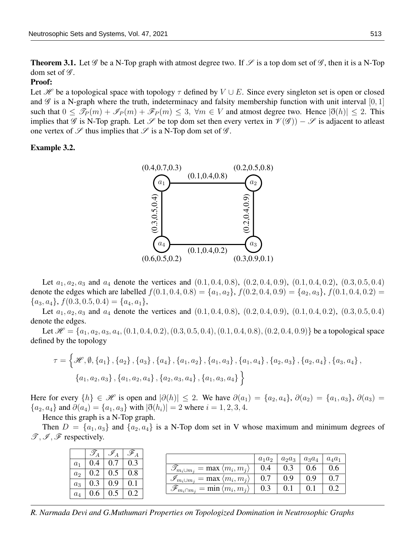**Theorem 3.1.** Let  $\mathscr G$  be a N-Top graph with atmost degree two. If  $\mathscr S$  is a top dom set of  $\mathscr G$ , then it is a N-Top dom set of  $\mathscr{G}$ .

#### Proof:

Let H be a topological space with topology  $\tau$  defined by  $V \cup E$ . Since every singleton set is open or closed and  $\mathscr G$  is a N-graph where the truth, indeterminacy and falsity membership function with unit interval [0, 1] such that  $0 \le \mathcal{I}_P(m) + \mathcal{I}_P(m) + \mathcal{F}_P(m) \le 3$ ,  $\forall m \in V$  and atmost degree two. Hence  $|\mathfrak{F}(h)| \le 2$ . This implies that  $\mathscr G$  is N-Top graph. Let  $\mathscr S$  be top dom set then every vertex in  $\mathscr V(\mathscr G)) - \mathscr S$  is adjacent to atleast one vertex of  $\mathscr S$  thus implies that  $\mathscr S$  is a N-Top dom set of  $\mathscr G$ .

#### Example 3.2.



Let  $a_1, a_2, a_3$  and  $a_4$  denote the vertices and  $(0.1, 0.4, 0.8), (0.2, 0.4, 0.9), (0.1, 0.4, 0.2), (0.3, 0.5, 0.4)$ denote the edges which are labelled  $f(0.1, 0.4, 0.8) = \{a_1, a_2\}$ ,  $f(0.2, 0.4, 0.9) = \{a_2, a_3\}$ ,  $f(0.1, 0.4, 0.2) =$  ${a_3, a_4}, f(0.3, 0.5, 0.4) = {a_4, a_1},$ 

Let  $a_1, a_2, a_3$  and  $a_4$  denote the vertices and  $(0.1, 0.4, 0.8), (0.2, 0.4, 0.9), (0.1, 0.4, 0.2), (0.3, 0.5, 0.4)$ denote the edges.

Let  $\mathcal{H} = \{a_1, a_2, a_3, a_4, (0.1, 0.4, 0.2), (0.3, 0.5, 0.4), (0.1, 0.4, 0.8), (0.2, 0.4, 0.9)\}\)$  be a topological space defined by the topology

$$
\tau = \left\{ \mathcal{H}, \emptyset, \left\{a_1\right\}, \left\{a_2\right\}, \left\{a_3\right\}, \left\{a_4\right\}, \left\{a_1, a_2\right\}, \left\{a_1, a_3\right\}, \left\{a_1, a_4\right\}, \left\{a_2, a_3\right\}, \left\{a_2, a_4\right\}, \left\{a_3, a_4\right\}, \left\{a_1, a_2, a_3\right\}, \left\{a_1, a_2, a_4\right\}, \left\{a_2, a_3, a_4\right\}, \left\{a_1, a_3, a_4\right\}\right\}
$$

Here for every  $\{h\} \in \mathcal{H}$  is open and  $|\partial(h)| \leq 2$ . We have  $\partial(a_1) = \{a_2, a_4\}, \partial(a_2) = \{a_1, a_3\}, \partial(a_3) =$  ${a_2, a_4}$  and  $\partial(a_4) = {a_1, a_3}$  with  $|\eth(h_i)| = 2$  where  $i = 1, 2, 3, 4$ .

Hence this graph is a N-Top graph.

Then  $D = \{a_1, a_3\}$  and  $\{a_2, a_4\}$  is a N-Top dom set in V whose maximum and minimum degrees of  $\mathscr{T}, \mathscr{I}, \mathscr{F}$  respectively.

|                | T   |  |                                                              |          |          |          |          |
|----------------|-----|--|--------------------------------------------------------------|----------|----------|----------|----------|
|                |     |  |                                                              | $a_1a_2$ | $a_2a_3$ | $a_3a_4$ | $a_4a_1$ |
| $a_1$          |     |  |                                                              | 0.4      |          |          |          |
| a <sub>2</sub> |     |  | $\mathscr{T}_{m_i \cup m_j} = \max \langle m_i, m_j \rangle$ |          |          | V.O      |          |
|                |     |  | $\mathscr{I}_{m_i \cup m_j} = \max \langle m_i, m_j \rangle$ | 0.7      | 0.9      | 0.9      |          |
| $a_3$          |     |  |                                                              |          |          |          |          |
|                | 0.6 |  | $\mathscr{F}_{m_i \cap m_j} = \min \langle m_i, m_j \rangle$ | 0.3      |          |          |          |
| $a_4$          |     |  |                                                              |          |          |          |          |

*R. Narmada Devi and G.Muthumari Properties on Topologized Domination in Neutrosophic Graphs*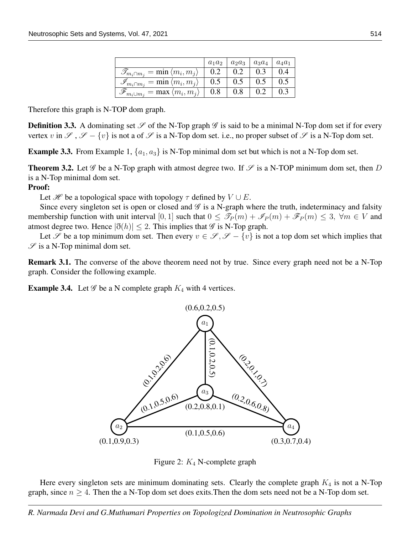|                                                              | $a_1a_2$ | $a_2a_3$ | $a_3a_4$ | $a_4a_1$ |
|--------------------------------------------------------------|----------|----------|----------|----------|
| $\mathscr{T}_{m_i \cap m_j} = \min \langle m_i, m_j \rangle$ | 0.2      | 0.2      | 0.3      | (0.4)    |
| $\mathscr{I}_{m_i \cap m_j} = \min \langle m_i, m_j \rangle$ | 0.5      | 0.5      | 0.5      | 0.5      |
| $\mathscr{F}_{m_i\cup m_j} = \max \langle m_i, m_j \rangle$  | 0.8      | 0.8      |          |          |

Therefore this graph is N-TOP dom graph.

**Definition 3.3.** A dominating set  $\mathscr S$  of the N-Top graph  $\mathscr G$  is said to be a minimal N-Top dom set if for every vertex v in  $\mathscr{S}$ ,  $\mathscr{S} - \{v\}$  is not a of  $\mathscr{S}$  is a N-Top dom set. i.e., no proper subset of  $\mathscr{S}$  is a N-Top dom set.

**Example 3.3.** From Example 1,  $\{a_1, a_3\}$  is N-Top minimal dom set but which is not a N-Top dom set.

**Theorem 3.2.** Let  $\mathscr G$  be a N-Top graph with atmost degree two. If  $\mathscr S$  is a N-TOP minimum dom set, then D is a N-Top minimal dom set.

#### Proof:

Let  $\mathcal{H}$  be a topological space with topology  $\tau$  defined by  $V \cup E$ .

Since every singleton set is open or closed and  $\mathscr G$  is a N-graph where the truth, indeterminacy and falsity membership function with unit interval [0, 1] such that  $0 \leq \mathcal{I}_P(m) + \mathcal{I}_P(m) + \mathcal{I}_P(m) \leq 3$ ,  $\forall m \in V$  and atmost degree two. Hence  $|\eth(h)| \leq 2$ . This implies that  $\mathscr G$  is N-Top graph.

Let  $\mathscr S$  be a top minimum dom set. Then every  $v \in \mathscr S, \mathscr S - \{v\}$  is not a top dom set which implies that  $\mathscr S$  is a N-Top minimal dom set.

Remark 3.1. The converse of the above theorem need not by true. Since every graph need not be a N-Top graph. Consider the following example.

**Example 3.4.** Let  $\mathcal G$  be a N complete graph  $K_4$  with 4 vertices.



Figure 2:  $K_4$  N-complete graph

Here every singleton sets are minimum dominating sets. Clearly the complete graph  $K_4$  is not a N-Top graph, since  $n \geq 4$ . Then the a N-Top dom set does exits. Then the dom sets need not be a N-Top dom set.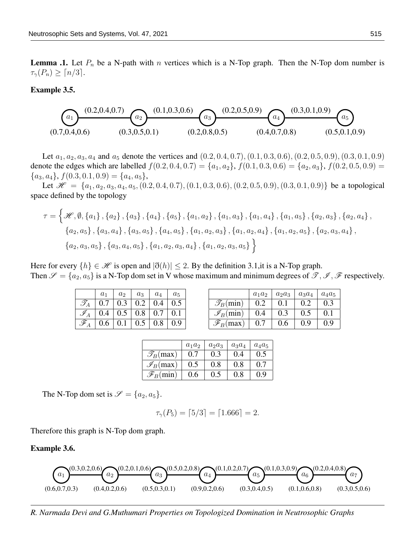**Lemma .1.** Let  $P_n$  be a N-path with n vertices which is a N-Top graph. Then the N-Top dom number is  $\tau_{\gamma}(P_n) \geq \lceil n/3 \rceil$ .

#### Example 3.5.



Let  $a_1, a_2, a_3, a_4$  and  $a_5$  denote the vertices and  $(0.2, 0.4, 0.7), (0.1, 0.3, 0.6), (0.2, 0.5, 0.9), (0.3, 0.1, 0.9)$ denote the edges which are labelled  $f(0.2, 0.4, 0.7) = \{a_1, a_2\}, f(0.1, 0.3, 0.6) = \{a_2, a_3\}, f(0.2, 0.5, 0.9) =$  ${a_3, a_4}, f(0.3, 0.1, 0.9) = {a_4, a_5},$ 

Let  $\mathcal{H} = \{a_1, a_2, a_3, a_4, a_5, (0.2, 0.4, 0.7), (0.1, 0.3, 0.6), (0.2, 0.5, 0.9), (0.3, 0.1, 0.9)\}\)$  be a topological space defined by the topology

$$
\tau = \left\{ \mathcal{H}, \emptyset, \{a_1\}, \{a_2\}, \{a_3\}, \{a_4\}, \{a_5\}, \{a_1, a_2\}, \{a_1, a_3\}, \{a_1, a_4\}, \{a_1, a_5\}, \{a_2, a_3\}, \{a_2, a_4\} \right\},
$$
  

$$
\left\{a_2, a_5\right\}, \left\{a_3, a_4\right\}, \left\{a_3, a_5\right\}, \left\{a_4, a_5\right\}, \left\{a_1, a_2, a_3\right\}, \left\{a_1, a_2, a_4\right\}, \left\{a_1, a_2, a_5\right\}, \left\{a_2, a_3, a_4\right\}, \left\{a_3, a_5\right\}, \left\{a_3, a_4, a_5\right\}, \left\{a_1, a_2, a_3, a_4\right\}, \left\{a_1, a_2, a_3, a_5\right\} \right\}
$$

Here for every  $\{h\} \in \mathcal{H}$  is open and  $|\eth(h)| \leq 2$ . By the definition 3.1, it is a N-Top graph. Then  $\mathscr{S} = \{a_2, a_5\}$  is a N-Top dom set in V whose maximum and minimum degrees of  $\mathscr{T}, \mathscr{I}, \mathscr{F}$  respectively.

|   | a <sub>1</sub> | a <sub>2</sub> | $a_3$   | $a_4$ | $a_5$ |
|---|----------------|----------------|---------|-------|-------|
|   | 0.7            | 0.3            | 0.2     | 0.4   | 0.5   |
| ℐ | 0.4            | 0.5            | $0.8\,$ | 0.7   | 0.1   |
|   | 0.6            | 0.1            | 0.5     | 0.8   |       |

|                             | $a_1a_2$ | $a_2a_3$ | $a_3a_4$ | $a_4a_5$ |
|-----------------------------|----------|----------|----------|----------|
| $\mathscr{T}_B(\min)$       | 0.2      | 0.1      | 0.2      | 0.3      |
| $\mathscr{I}_B(\text{min})$ | 0.4      | 0.3      | 0.5      | 0.1      |
| $\mathscr{F}_B(\max)$       | 0.7      | 0.6      | 0.9      | 09       |

|                         | $a_1a_2$ | $a_2a_3$ | $a_3a_4$ | $a_4a_5$ |
|-------------------------|----------|----------|----------|----------|
| $\mathscr{T}_{B}(\max)$ | 0.7      | 0.3      | (0.4)    | 0.5      |
| $\mathscr{I}_B(\max)$   | 0.5      | 0.8      | 0.8      | 0.7      |
| $\mathscr{F}_B(\min)$   | 0.6      | 0.5      | 0.8      | 0.9      |

The N-Top dom set is  $\mathscr{S} = \{a_2, a_5\}.$ 

$$
\tau_{\gamma}(P_5) = \lceil 5/3 \rceil = \lceil 1.666 \rceil = 2.
$$

Therefore this graph is N-Top dom graph.

Example 3.6.



*R. Narmada Devi and G.Muthumari Properties on Topologized Domination in Neutrosophic Graphs*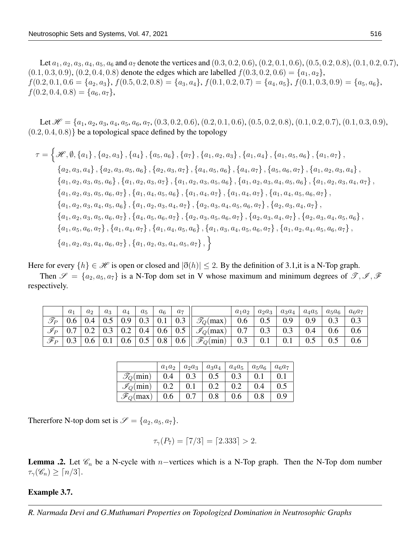Let  $a_1, a_2, a_3, a_4, a_5, a_6$  and  $a_7$  denote the vertices and  $(0.3, 0.2, 0.6), (0.2, 0.1, 0.6), (0.5, 0.2, 0.8), (0.1, 0.2, 0.7),$  $(0.1, 0.3, 0.9), (0.2, 0.4, 0.8)$  denote the edges which are labelled  $f(0.3, 0.2, 0.6) = \{a_1, a_2\},$  $f(0.2, 0.1, 0.6 = \{a_2, a_3\}, f(0.5, 0.2, 0.8) = \{a_3, a_4\}, f(0.1, 0.2, 0.7) = \{a_4, a_5\}, f(0.1, 0.3, 0.9) = \{a_5, a_6\},\$  $f(0.2, 0.4, 0.8) = \{a_6, a_7\},\$ 

Let  $\mathcal{H} = \{a_1, a_2, a_3, a_4, a_5, a_6, a_7, (0.3, 0.2, 0.6), (0.2, 0.1, 0.6), (0.5, 0.2, 0.8), (0.1, 0.2, 0.7), (0.1, 0.3, 0.9),$  $(0.2, 0.4, 0.8)$  be a topological space defined by the topology

$$
\tau = \left\{\mathcal{H}, \emptyset, \{a_1\}, \{a_2, a_3\}, \{a_4\}, \{a_5, a_6\}, \{a_7\}, \{a_1, a_2, a_3\}, \{a_1, a_4\}, \{a_1, a_5, a_6\}, \{a_1, a_7\}, \{a_2, a_3, a_4\}, \{a_2, a_3, a_5, a_6\}, \{a_2, a_3, a_7\}, \{a_4, a_5, a_6\}, \{a_4, a_7\}, \{a_5, a_6, a_7\}, \{a_1, a_2, a_3, a_4\}, \{a_1, a_2, a_3, a_5, a_6\}, \{a_1, a_2, a_3, a_7\}, \{a_1, a_2, a_3, a_5, a_6\}, \{a_1, a_2, a_3, a_4, a_5, a_6\}, \{a_1, a_2, a_3, a_4, a_7\}, \{a_1, a_2, a_3, a_5, a_6\}, \{a_1, a_4, a_7\}, \{a_1, a_4, a_7\}, \{a_1, a_4, a_7\}, \{a_1, a_4, a_7\}, \{a_1, a_4, a_5, a_6, a_7\}, \{a_1, a_2, a_3, a_4, a_7\}, \{a_1, a_2, a_3, a_4, a_7\}, \{a_2, a_3, a_4, a_5, a_6, a_7\}, \{a_2, a_3, a_4, a_7\}, \{a_2, a_3, a_4, a_7\}, \{a_2, a_3, a_4, a_7\}, \{a_2, a_3, a_5, a_6, a_7\}, \{a_2, a_3, a_4, a_7\}, \{a_2, a_3, a_4, a_7\}, \{a_1, a_5, a_6, a_7\}, \{a_1, a_4, a_5, a_6, a_7\}, \{a_1, a_4, a_5, a_6, a_7\}, \{a_1, a_2, a_3, a_4, a_5, a_6\}, \{a_1, a_2, a_3, a_4, a_5, a_6\}, \{a_1, a_2
$$

Here for every  $\{h\} \in \mathcal{H}$  is open or closed and  $|\mathfrak{d}(h)| \leq 2$ . By the definition of 3.1, it is a N-Top graph.

Then  $\mathscr{S} = \{a_2, a_5, a_7\}$  is a N-Top dom set in V whose maximum and minimum degrees of  $\mathscr{T}, \mathscr{I}, \mathscr{F}$ respectively.

|                 | $a_1$ | $a_2$ | $a_3$ | $a_4$ | $a_5$                       | a <sub>6</sub> | a <sub>7</sub>                                     |                                                | $a_1a_2$ | $a_2a_3$ | $a_3a_4$ | $a_4a_5$ | $a_5a_6$ | $a_6a_7$ |
|-----------------|-------|-------|-------|-------|-----------------------------|----------------|----------------------------------------------------|------------------------------------------------|----------|----------|----------|----------|----------|----------|
| $\mathscr{T}_P$ | 0.6   | 0.4   | 0.5   | 0.9   | $\mid 0.3 \mid 0.1 \mid$    |                | 0.3                                                | $\mathcal{T}_Q(\max)$                          | 0.6      | 0.5      | 0.9      | 0.9      | 0.3      |          |
| $\mathscr I_P$  |       | 0.2   | 0.3   |       |                             |                | $\mid$ 0.2 $\mid$ 0.4 $\mid$ 0.6 $\mid$ 0.5 $\mid$ | $\parallel \mathcal{I}_Q(\text{max})\parallel$ | 0.7      | 0.3      | 0.3      | 0.4      | 0.6      | 0.6      |
| $\mathscr{F}_P$ | 0.3   | 0.6   | 0.1   | 0.6   | $\vert 0.5 \vert 0.8 \vert$ |                | 0.6                                                | $\parallel \mathscr{F}_Q(\min)$                | 0.3      | 0.1      | 0.1      | $0.5\,$  | $0.5\,$  | 0.6      |

|                             | $a_1a_2$ | $a_2a_3$ | $a_3a_4$ | $a_4a_5$ | $a_5a_6$ | $a_6a_7$  |
|-----------------------------|----------|----------|----------|----------|----------|-----------|
| $\mathcal{T}_Q(\min)$       | 0.4      | 0.3      | 0.5      | 0.3      |          |           |
| $\mathscr{I}_Q(\text{min})$ | 0.2      | $0.1\,$  | 0.2      | 0.2      | 0.4      | $\rm 0.5$ |
| $\mathscr{F}_Q$ (max)       | 0.6      |          | 0.8      | 0.6      | $0.8\,$  | 0.9       |

Thererfore N-top dom set is  $\mathscr{S} = \{a_2, a_5, a_7\}.$ 

$$
\tau_{\gamma}(P_7) = [7/3] = [2.333] > 2.
$$

**Lemma .2.** Let  $\mathscr{C}_n$  be a N-cycle with *n*−vertices which is a N-Top graph. Then the N-Top dom number  $\tau_{\gamma}(\mathscr{C}_n) \geq \lceil n/3 \rceil$ .

#### Example 3.7.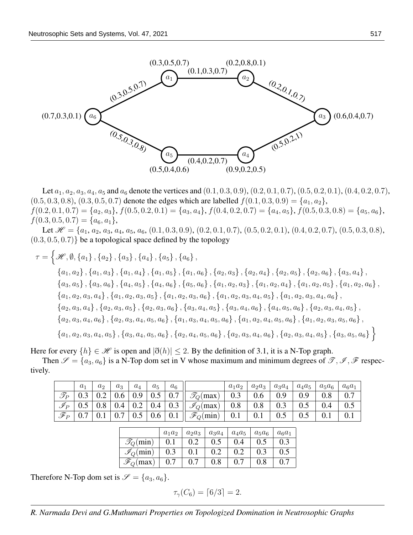

Let  $a_1, a_2, a_3, a_4, a_5$  and  $a_6$  denote the vertices and  $(0.1, 0.3, 0.9), (0.2, 0.1, 0.7), (0.5, 0.2, 0.1), (0.4, 0.2, 0.7),$  $(0.5, 0.3, 0.8), (0.3, 0.5, 0.7)$  denote the edges which are labelled  $f(0.1, 0.3, 0.9) = \{a_1, a_2\},\$  $f(0.2, 0.1, 0.7) = \{a_2, a_3\}, f(0.5, 0.2, 0.1) = \{a_3, a_4\}, f(0.4, 0.2, 0.7) = \{a_4, a_5\}, f(0.5, 0.3, 0.8) = \{a_5, a_6\},$  $f(0.3, 0.5, 0.7) = \{a_6, a_1\},\$ 

Let  $\mathcal{H} = \{a_1, a_2, a_3, a_4, a_5, a_6, (0.1, 0.3, 0.9), (0.2, 0.1, 0.7), (0.5, 0.2, 0.1), (0.4, 0.2, 0.7), (0.5, 0.3, 0.8),\}$  $(0.3, 0.5, 0.7)$  be a topological space defined by the topology

$$
\tau = \left\{ \mathcal{H}, \emptyset, \{a_1\}, \{a_2\}, \{a_3\}, \{a_4\}, \{a_5\}, \{a_6\}, \{a_2, a_3\}, \{a_2, a_4\}, \{a_2, a_5\}, \{a_3, a_4\}, \{a_1, a_2\}, \{a_1, a_3\}, \{a_1, a_4\}, \{a_1, a_5\}, \{a_1, a_6\}, \{a_2, a_3\}, \{a_2, a_4\}, \{a_2, a_5\}, \{a_3, a_4\}, \{a_3, a_5\}, \{a_4, a_5\}, \{a_4, a_6\}, \{a_5, a_6\}, \{a_1, a_2, a_3\}, \{a_1, a_2, a_4\}, \{a_1, a_2, a_5\}, \{a_1, a_2, a_3, a_4\}, \{a_1, a_2, a_3, a_5\}, \{a_1, a_2, a_3, a_6\}, \{a_1, a_2, a_3, a_4, a_5\}, \{a_1, a_2, a_3, a_4, a_6\}, \{a_2, a_3, a_4\}, \{a_2, a_3, a_5\}, \{a_2, a_3, a_6\}, \{a_3, a_4, a_5\}, \{a_3, a_4, a_6\}, \{a_2, a_3, a_4, a_6\}, \{a_2, a_3, a_4, a_6\}, \{a_2, a_3, a_4, a_5\}, \{a_2, a_3, a_4, a_5, a_6\}, \{a_1, a_2, a_4, a_5, a_6\}, \{a_1, a_2, a_3, a_4, a_5, a_6\}, \{a_1, a_2, a_3, a_4, a_5\}, \{a_2, a_3, a_4, a_5\}, \{a_3, a_4, a_5\}, \{a_3, a_4, a_5\}, \{a_3, a_4, a_5\}, \{a_3, a_4, a_5\}, \{a_3, a_4, a_5\}, \{a_3, a_4, a_5\}, \{a_3, a_4, a_5\}, \{a_3, a_4, a_5\
$$

Here for every  $\{h\} \in \mathcal{H}$  is open and  $|\eth(h)| \leq 2$ . By the definition of 3.1, it is a N-Top graph.

Then  $\mathscr{S} = \{a_3, a_6\}$  is a N-Top dom set in V whose maximum and minimum degrees of  $\mathscr{T}, \mathscr{I}, \mathscr{F}$  respectively.

|                 | $a_1$             | a <sub>2</sub> | $a_3$ | $a_4$ | $a_5$ | a <sub>6</sub> |                                                                                                    | $a_1a_2$ | $a_2a_3$                                                     | $ a_3a_4 $ | $a_4a_5$ $a_5a_6$ |     | $a_6a_1$ |
|-----------------|-------------------|----------------|-------|-------|-------|----------------|----------------------------------------------------------------------------------------------------|----------|--------------------------------------------------------------|------------|-------------------|-----|----------|
| $\mathscr{T}_P$ | $\vert 0.3 \vert$ |                |       |       |       |                | 0.2   0.6   0.9   0.5   0.7    $\mathscr{T}_{Q}(\text{max})$   0.3                                 |          | 0.6                                                          | 0.9        | 0.9 <sub>o</sub>  | 0.8 | 0.7      |
|                 |                   |                |       |       |       |                |                                                                                                    |          | $\begin{array}{ c c c c c } \hline 0.8 & \hline \end{array}$ | 0.3        |                   | 0.4 | 0.5      |
| $\mathscr{F}_P$ | $\vert 0.7 \vert$ |                |       |       |       |                | $\mid 0.1 \mid 0.7 \mid 0.5 \mid 0.6 \mid 0.1 \mid \mid \mathscr{F}_{Q}(\text{min}) \mid 0.1 \mid$ |          | 0.1                                                          | 0.5        |                   |     |          |

|                             | $a_1a_2$ | $a_2a_3$ | $a_3a_4$ | $a_4a_5$        | $a_5a_6$ | $a_6a_1$ |
|-----------------------------|----------|----------|----------|-----------------|----------|----------|
| $\mathscr{T}_{Q}(\min)$     |          | 0.2      | 0.5      | 0.4             | 0.5      | 0.3      |
| $\mathscr{I}_Q(\text{min})$ | 0.3      |          | 0.2      |                 | 0.3      | 0.5      |
| $\mathscr{F}_C$<br>(max)    | 0.7      | ሰ 7      | $0.8\,$  | $^{\prime}$ 0.7 | 0.8      |          |

Therefore N-Top dom set is  $\mathscr{S} = \{a_3, a_6\}.$ 

$$
\tau_{\gamma}(C_6) = \lceil 6/3 \rceil = 2.
$$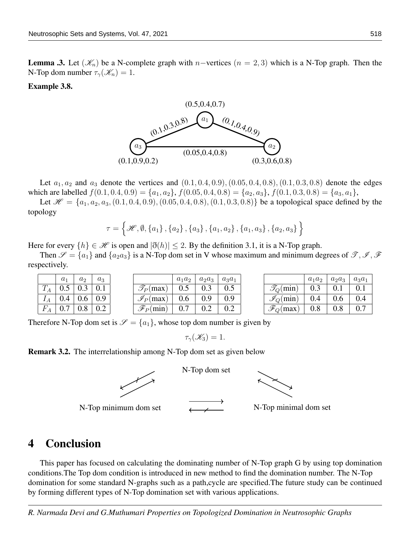**Lemma .3.** Let  $(\mathscr{K}_n)$  be a N-complete graph with n–vertices  $(n = 2, 3)$  which is a N-Top graph. Then the N-Top dom number  $\tau_{\gamma}(\mathscr{K}_n) = 1$ .

#### Example 3.8.



Let  $a_1, a_2$  and  $a_3$  denote the vertices and  $(0.1, 0.4, 0.9), (0.05, 0.4, 0.8), (0.1, 0.3, 0.8)$  denote the edges which are labelled  $f(0.1, 0.4, 0.9) = \{a_1, a_2\}, f(0.05, 0.4, 0.8) = \{a_2, a_3\}, f(0.1, 0.3, 0.8) = \{a_3, a_1\},\$ 

Let  $\mathcal{H} = \{a_1, a_2, a_3, (0.1, 0.4, 0.9), (0.05, 0.4, 0.8), (0.1, 0.3, 0.8)\}\)$  be a topological space defined by the topology

$$
\tau = \left\{ \mathcal{H}, \emptyset, \left\{ a_{1} \right\}, \left\{ a_{2} \right\}, \left\{ a_{3} \right\}, \left\{ a_{1}, a_{2} \right\}, \left\{ a_{1}, a_{3} \right\}, \left\{ a_{2}, a_{3} \right\} \right\}
$$

Here for every  $\{h\} \in \mathcal{H}$  is open and  $|\eth(h)| \leq 2$ . By the definition 3.1, it is a N-Top graph.

Then  $\mathscr{S} = \{a_1\}$  and  $\{a_2a_3\}$  is a N-Top dom set in V whose maximum and minimum degrees of  $\mathscr{T}, \mathscr{I}, \mathscr{F}$ respectively.

|                              | $a_1$                  | $a_2$ | $a_3$ |                       | $a_1a_2$ | $a_2a_3$ | $a_3a_1$ |                             | $a_1a_2$ | $a_2a_3$ | $a_3a$ |
|------------------------------|------------------------|-------|-------|-----------------------|----------|----------|----------|-----------------------------|----------|----------|--------|
| $\sqrt{ }$<br>$\mathbf{1}_A$ | U.J                    | 0.3   | 0.1   | $\mathscr{T}_P(\max)$ | 0.5      | 0.3      | 0.5      | $\mathcal{I}_O(\text{min})$ | 0.3      | 0.1      | 0.1    |
| $I_A$                        | 0.4                    | 0.6   | 0.9   | $\mathscr{I}_P(\max)$ | 0.6      | 0.9      | 0.9      | $\mathscr{I}_O(\text{min})$ | 0.4      | 0.6      | 0.4    |
| $F\,$<br>$\perp$ A           | $\overline{ }$<br>V. I | 0.8   | 0.2   | $\mathscr{F}_P(\min)$ | 0.7      | $0.2\,$  | 0.2      | $\mathscr{F}_Q$ (max)       | 0.8      | 0.8      | 0.7    |

Therefore N-Top dom set is  $\mathcal{S} = \{a_1\}$ , whose top dom number is given by

 $\tau_{\gamma}(\mathscr{K}_{3})=1.$ 

N-Top dom set

Remark 3.2. The interrelationship among N-Top dom set as given below



N-Top minimum dom set  $N$ -Top minimal dom set



## 4 Conclusion

This paper has focused on calculating the dominating number of N-Top graph G by using top domination conditions.The Top dom condition is introduced in new method to find the domination number. The N-Top domination for some standard N-graphs such as a path,cycle are specified.The future study can be continued by forming different types of N-Top domination set with various applications.